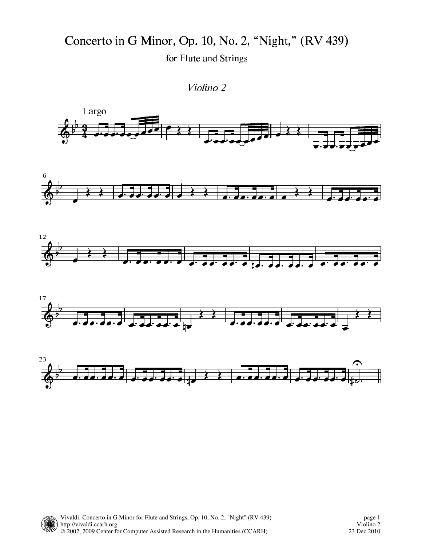Concerto in G Minor, Op. 10, No. 2, "Night," (RV 439) for Flute and Strings

Violino 2

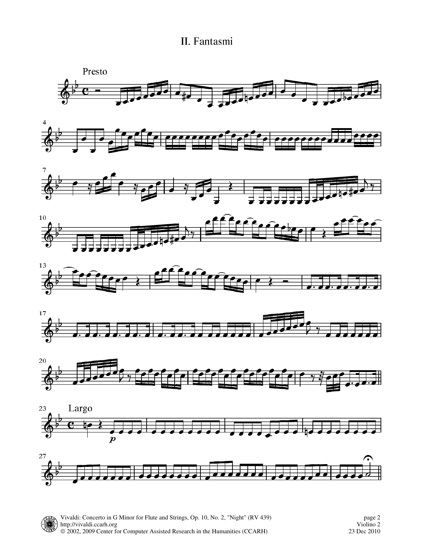## II. Fantasmi



Vivaldi: Concerto in G Minor for Flute and Strings, Op. 10, No. 2, "Night" (RV 439) http://vivaldi.ccarh.org © 2002, 2009 Center for Computer Assisted Research in the Humanities (CCARH)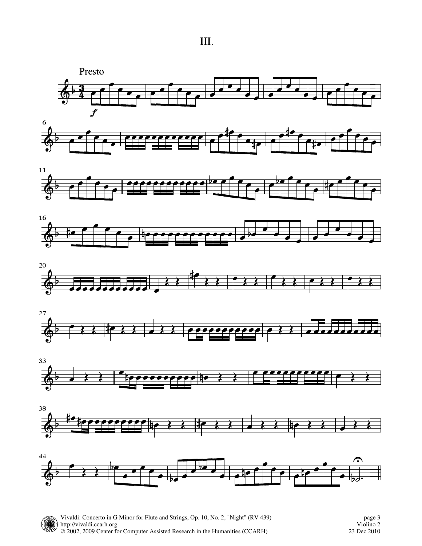III.



















23 Dec 2010 Violino 2 page 3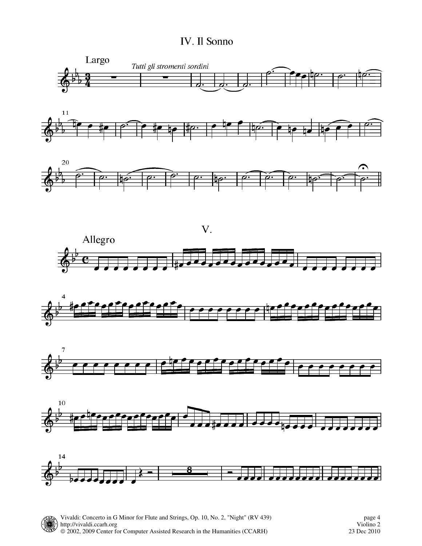## IV. Il Sonno